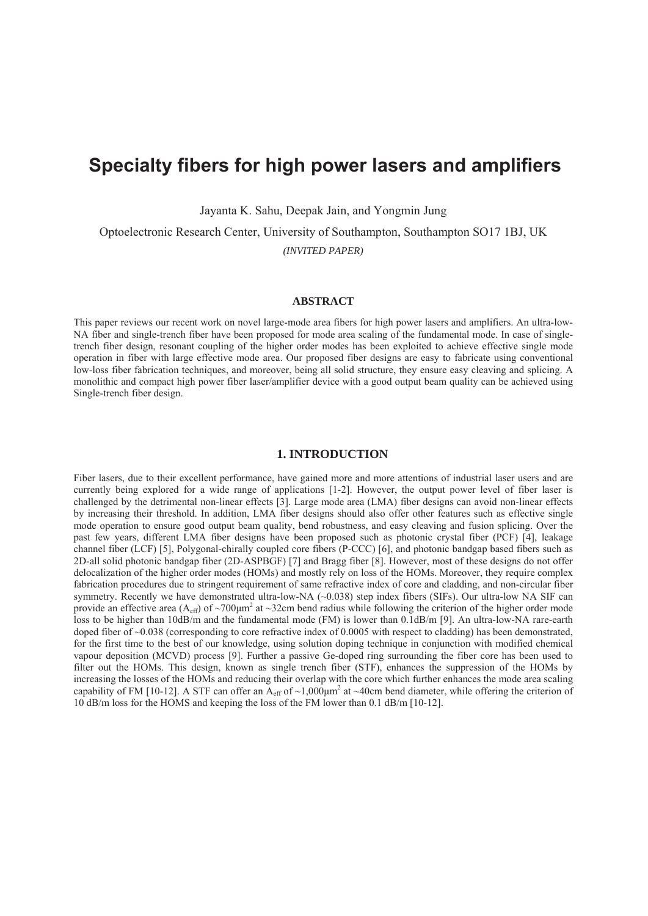# **Specialty fibers for high power lasers and amplifiers**

Jayanta K. Sahu, Deepak Jain, and Yongmin Jung

Optoelectronic Research Center, University of Southampton, Southampton SO17 1BJ, UK *(INVITED PAPER)*

### **ABSTRACT**

This paper reviews our recent work on novel large-mode area fibers for high power lasers and amplifiers. An ultra-low-NA fiber and single-trench fiber have been proposed for mode area scaling of the fundamental mode. In case of singletrench fiber design, resonant coupling of the higher order modes has been exploited to achieve effective single mode operation in fiber with large effective mode area. Our proposed fiber designs are easy to fabricate using conventional low-loss fiber fabrication techniques, and moreover, being all solid structure, they ensure easy cleaving and splicing. A monolithic and compact high power fiber laser/amplifier device with a good output beam quality can be achieved using Single-trench fiber design.

### **1. INTRODUCTION**

Fiber lasers, due to their excellent performance, have gained more and more attentions of industrial laser users and are currently being explored for a wide range of applications [1-2]. However, the output power level of fiber laser is challenged by the detrimental non-linear effects [3]. Large mode area (LMA) fiber designs can avoid non-linear effects by increasing their threshold. In addition, LMA fiber designs should also offer other features such as effective single mode operation to ensure good output beam quality, bend robustness, and easy cleaving and fusion splicing. Over the past few years, different LMA fiber designs have been proposed such as photonic crystal fiber (PCF) [4], leakage channel fiber (LCF) [5], Polygonal-chirally coupled core fibers (P-CCC) [6], and photonic bandgap based fibers such as 2D-all solid photonic bandgap fiber (2D-ASPBGF) [7] and Bragg fiber [8]. However, most of these designs do not offer delocalization of the higher order modes (HOMs) and mostly rely on loss of the HOMs. Moreover, they require complex fabrication procedures due to stringent requirement of same refractive index of core and cladding, and non-circular fiber symmetry. Recently we have demonstrated ultra-low-NA (~0.038) step index fibers (SIFs). Our ultra-low NA SIF can provide an effective area  $(A_{eff})$  of ~700 $\mu$ m<sup>2</sup> at ~32cm bend radius while following the criterion of the higher order mode loss to be higher than 10dB/m and the fundamental mode (FM) is lower than 0.1dB/m [9]. An ultra-low-NA rare-earth doped fiber of ~0.038 (corresponding to core refractive index of 0.0005 with respect to cladding) has been demonstrated, for the first time to the best of our knowledge, using solution doping technique in conjunction with modified chemical vapour deposition (MCVD) process [9]. Further a passive Ge-doped ring surrounding the fiber core has been used to filter out the HOMs. This design, known as single trench fiber (STF), enhances the suppression of the HOMs by increasing the losses of the HOMs and reducing their overlap with the core which further enhances the mode area scaling capability of FM [10-12]. A STF can offer an  $A_{eff}$  of ~1,000 $\mu$ m<sup>2</sup> at ~40cm bend diameter, while offering the criterion of 10 dB/m loss for the HOMS and keeping the loss of the FM lower than 0.1 dB/m [10-12].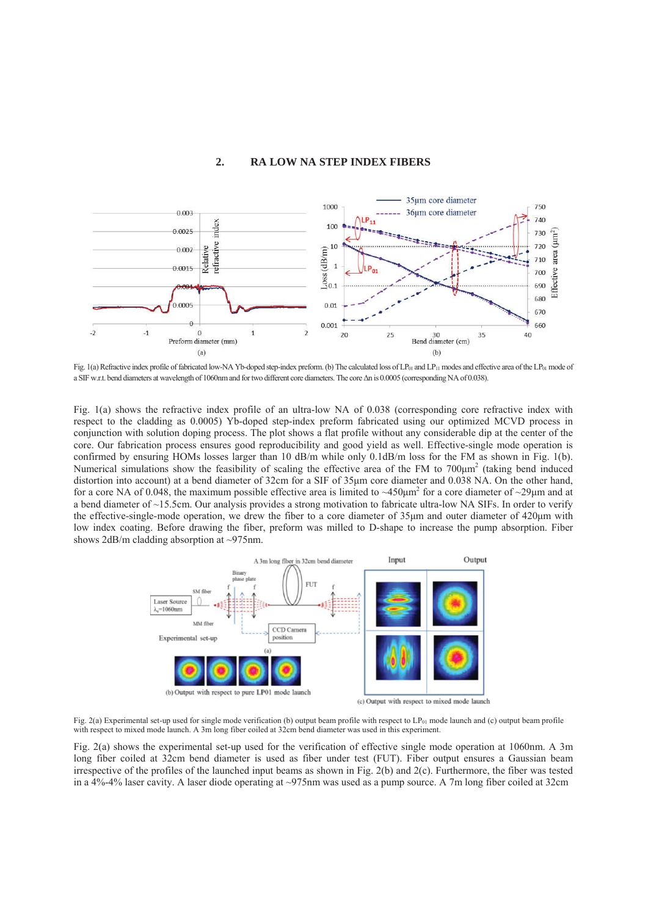## **2. RA LOW NA STEP INDEX FIBERS**



Fig. 1(a) Refractive index profile of fabricated low-NA Yb-doped step-index preform. (b) The calculated loss of  $LP_{01}$  and  $LP_{11}$  modes and effective area of the  $LP_{01}$  mode of a SIF w.r.t. bend diameters at wavelength of 1060nm and for two different core diameters. The core  $\Delta n$  is 0.0005 (corresponding NA of 0.038).

Fig. 1(a) shows the refractive index profile of an ultra-low NA of 0.038 (corresponding core refractive index with respect to the cladding as 0.0005) Yb-doped step-index preform fabricated using our optimized MCVD process in conjunction with solution doping process. The plot shows a flat profile without any considerable dip at the center of the core. Our fabrication process ensures good reproducibility and good yield as well. Effective-single mode operation is confirmed by ensuring HOMs losses larger than 10 dB/m while only 0.1dB/m loss for the FM as shown in Fig. 1(b). Numerical simulations show the feasibility of scaling the effective area of the FM to  $700 \mu m^2$  (taking bend induced distortion into account) at a bend diameter of 32cm for a SIF of 35µm core diameter and 0.038 NA. On the other hand, for a core NA of 0.048, the maximum possible effective area is limited to  $\sim$ 450 $\mu$ m<sup>2</sup> for a core diameter of  $\sim$ 29 $\mu$ m and at a bend diameter of ~15.5cm. Our analysis provides a strong motivation to fabricate ultra-low NA SIFs. In order to verify the effective-single-mode operation, we drew the fiber to a core diameter of 35µm and outer diameter of 420µm with low index coating. Before drawing the fiber, preform was milled to D-shape to increase the pump absorption. Fiber shows 2dB/m cladding absorption at ~975nm.



Fig. 2(a) Experimental set-up used for single mode verification (b) output beam profile with respect to  $LP_{01}$  mode launch and (c) output beam profile with respect to mixed mode launch. A 3m long fiber coiled at 32cm bend diameter was used in this experiment.

Fig. 2(a) shows the experimental set-up used for the verification of effective single mode operation at 1060nm. A 3m long fiber coiled at 32cm bend diameter is used as fiber under test (FUT). Fiber output ensures a Gaussian beam irrespective of the profiles of the launched input beams as shown in Fig. 2(b) and 2(c). Furthermore, the fiber was tested in a 4%-4% laser cavity. A laser diode operating at ~975nm was used as a pump source. A 7m long fiber coiled at 32cm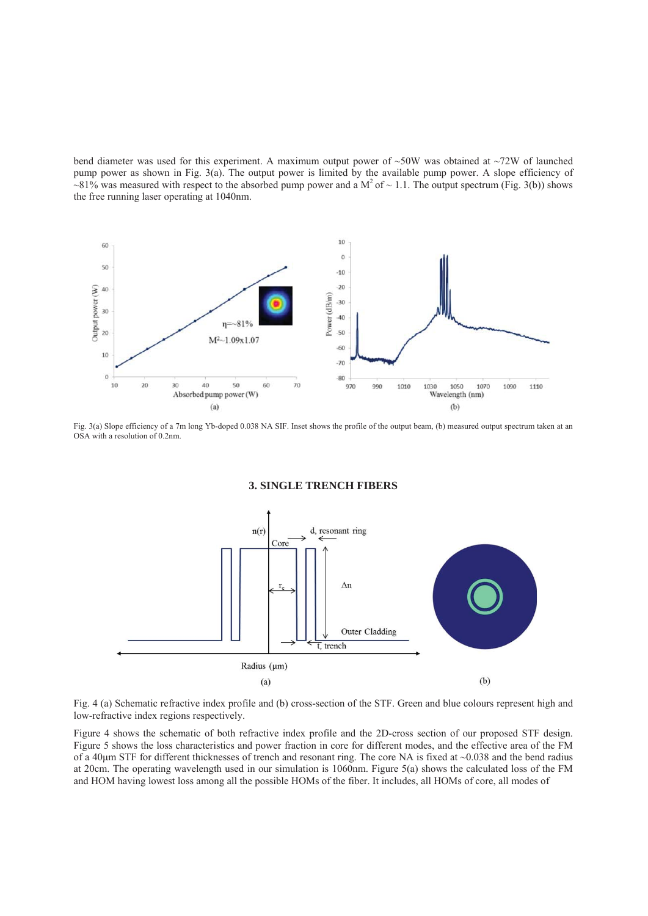bend diameter was used for this experiment. A maximum output power of  $\sim 50W$  was obtained at  $\sim 72W$  of launched pump power as shown in Fig. 3(a). The output power is limited by the available pump power. A slope efficiency of  $\sim$ 81% was measured with respect to the absorbed pump power and a M<sup>2</sup> of  $\sim$  1.1. The output spectrum (Fig. 3(b)) shows the free running laser operating at 1040nm.



Fig. 3(a) Slope efficiency of a 7m long Yb-doped 0.038 NA SIF. Inset shows the profile of the output beam, (b) measured output spectrum taken at an OSA with a resolution of 0.2nm.

**3. SINGLE TRENCH FIBERS**



Fig. 4 (a) Schematic refractive index profile and (b) cross-section of the STF. Green and blue colours represent high and low-refractive index regions respectively.

Figure 4 shows the schematic of both refractive index profile and the 2D-cross section of our proposed STF design. Figure 5 shows the loss characteristics and power fraction in core for different modes, and the effective area of the FM of a 40 $\mu$ m STF for different thicknesses of trench and resonant ring. The core NA is fixed at  $\sim$ 0.038 and the bend radius at 20cm. The operating wavelength used in our simulation is 1060nm. Figure 5(a) shows the calculated loss of the FM and HOM having lowest loss among all the possible HOMs of the fiber. It includes, all HOMs of core, all modes of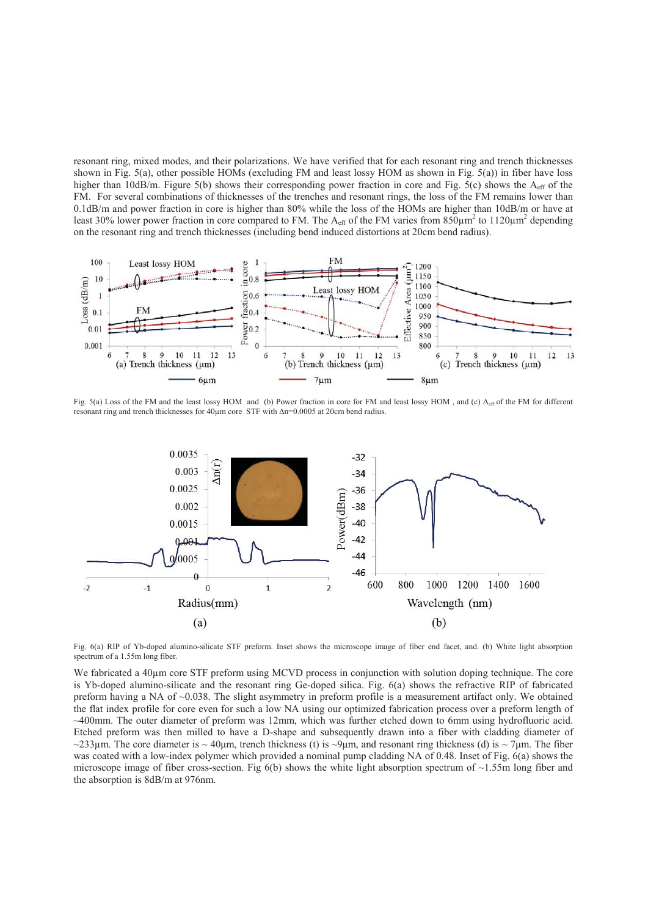resonant ring, mixed modes, and their polarizations. We have verified that for each resonant ring and trench thicknesses shown in Fig. 5(a), other possible HOMs (excluding FM and least lossy HOM as shown in Fig. 5(a)) in fiber have loss higher than 10dB/m. Figure 5(b) shows their corresponding power fraction in core and Fig. 5(c) shows the  $A_{\text{eff}}$  of the FM. For several combinations of thicknesses of the trenches and resonant rings, the loss of the FM remains lower than 0.1dB/m and power fraction in core is higher than 80% while the loss of the HOMs are higher than 10dB/m or have at least 30% lower power fraction in core compared to FM. The  $A_{eff}$  of the FM varies from 850 $\mu$ m<sup>2</sup> to 1120 $\mu$ m<sup>2</sup> depending on the resonant ring and trench thicknesses (including bend induced distortions at 20cm bend radius).



Fig. 5(a) Loss of the FM and the least lossy HOM and (b) Power fraction in core for FM and least lossy HOM, and (c)  $A_{\rm eff}$  of the FM for different resonant ring and trench thicknesses for 40μm core STF with Δn=0.0005 at 20cm bend radius.



Fig. 6(a) RIP of Yb-doped alumino-silicate STF preform. Inset shows the microscope image of fiber end facet, and. (b) White light absorption spectrum of a 1.55m long fiber.

We fabricated a 40μm core STF preform using MCVD process in conjunction with solution doping technique. The core is Yb-doped alumino-silicate and the resonant ring Ge-doped silica. Fig. 6(a) shows the refractive RIP of fabricated preform having a NA of ~0.038. The slight asymmetry in preform profile is a measurement artifact only. We obtained the flat index profile for core even for such a low NA using our optimized fabrication process over a preform length of ~400mm. The outer diameter of preform was 12mm, which was further etched down to 6mm using hydrofluoric acid. Etched preform was then milled to have a D-shape and subsequently drawn into a fiber with cladding diameter of ~233 $\mu$ m. The core diameter is ~40 $\mu$ m, trench thickness (t) is ~9 $\mu$ m, and resonant ring thickness (d) is ~7 $\mu$ m. The fiber was coated with a low-index polymer which provided a nominal pump cladding NA of 0.48. Inset of Fig. 6(a) shows the microscope image of fiber cross-section. Fig  $6(b)$  shows the white light absorption spectrum of  $\sim$ 1.55m long fiber and the absorption is 8dB/m at 976nm.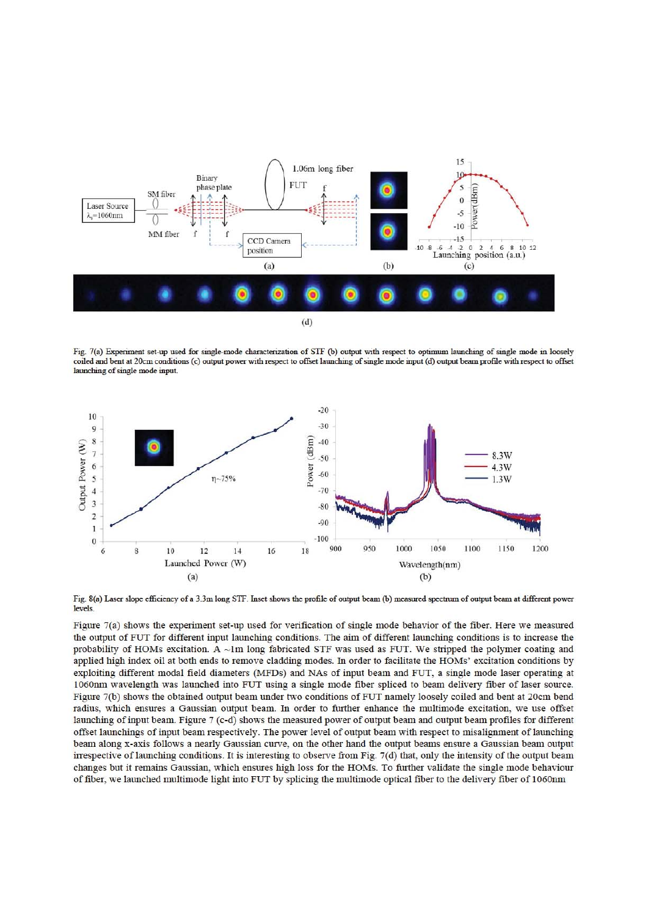

Fig. 7(a) Experiment set-up used for single-mode characterization of STF (b) output with respect to optimum launching of single mode in loosely coiled and bent at 20cm conditions (c) output power with respect to offset launching of single mode input (d) output beam profile with respect to offset launching of single mode input



Fig. 8(a) Laser slope efficiency of a 3.3m long STF. Inset shows the profile of output beam (b) measured spectrum of output beam at different power levels

Figure  $7(a)$  shows the experiment set-up used for verification of single mode behavior of the fiber. Here we measured the output of FUT for different input launching conditions. The aim of different launching conditions is to increase the probability of HOMs excitation. A ~1m long fabricated STF was used as FUT. We stripped the polymer coating and applied high index oil at both ends to remove cladding modes. In order to facilitate the HOMs' excitation conditions by exploiting different modal field diameters (MFDs) and NAs of input beam and FUT, a single mode laser operating at 1060nm wavelength was launched into FUT using a single mode fiber spliced to beam delivery fiber of laser source. Figure 7(b) shows the obtained output beam under two conditions of FUT namely loosely coiled and bent at 20cm bend radius, which ensures a Gaussian output beam. In order to further enhance the multimode excitation, we use offset launching of input beam. Figure 7 (c-d) shows the measured power of output beam and output beam profiles for different offset launchings of input beam respectively. The power level of output beam with respect to misalignment of launching beam along x-axis follows a nearly Gaussian curve, on the other hand the output beams ensure a Gaussian beam output irrespective of launching conditions. It is interesting to observe from Fig. 7(d) that, only the intensity of the output beam changes but it remains Gaussian, which ensures high loss for the HOMs. To further validate the single mode behaviour of fiber, we launched multimode light into FUT by splicing the multimode optical fiber to the delivery fiber of 1060nm